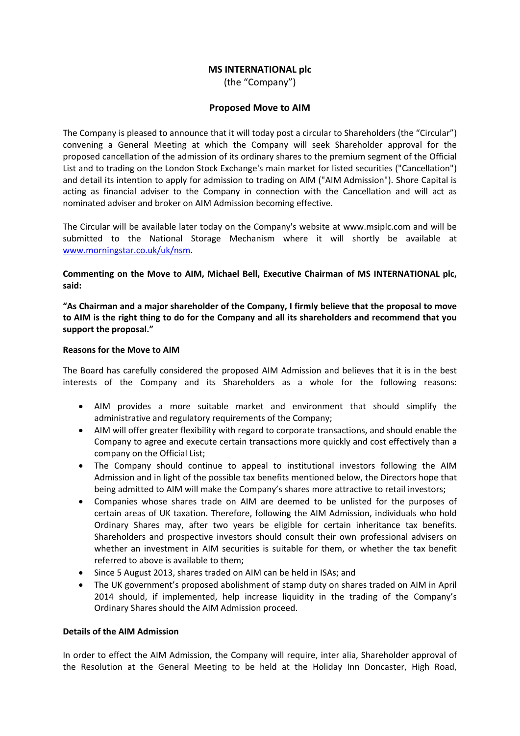# **MS INTERNATIONAL plc**

(the "Company")

## **Proposed Move to AIM**

The Company is pleased to announce that it will today post a circular to Shareholders (the "Circular") convening a General Meeting at which the Company will seek Shareholder approval for the proposed cancellation of the admission of its ordinary shares to the premium segment of the Official List and to trading on the London Stock Exchange's main market for listed securities ("Cancellation") and detail its intention to apply for admission to trading on AIM ("AIM Admission"). Shore Capital is acting as financial adviser to the Company in connection with the Cancellation and will act as nominated adviser and broker on AIM Admission becoming effective.

The Circular will be available later today on the Company's website at www.msiplc.com and will be submitted to the National Storage Mechanism where it will shortly be available at www.morningstar.co.uk/uk/nsm.

**Commenting on the Move to AIM, Michael Bell, Executive Chairman of MS INTERNATIONAL plc, said:**

**"As Chairman and a major shareholder of the Company, I firmly believe that the proposal to move** to AIM is the right thing to do for the Company and all its shareholders and recommend that you **support the proposal."**

## **Reasons for the Move to AIM**

The Board has carefully considered the proposed AIM Admission and believes that it is in the best interests of the Company and its Shareholders as a whole for the following reasons:

- AIM provides a more suitable market and environment that should simplify the administrative and regulatory requirements of the Company;
- AIM will offer greater flexibility with regard to corporate transactions, and should enable the Company to agree and execute certain transactions more quickly and cost effectively than a company on the Official List;
- The Company should continue to appeal to institutional investors following the AIM Admission and in light of the possible tax benefits mentioned below, the Directors hope that being admitted to AIM will make the Company's shares more attractive to retail investors;
- Companies whose shares trade on AIM are deemed to be unlisted for the purposes of certain areas of UK taxation. Therefore, following the AIM Admission, individuals who hold Ordinary Shares may, after two years be eligible for certain inheritance tax benefits. Shareholders and prospective investors should consult their own professional advisers on whether an investment in AIM securities is suitable for them, or whether the tax benefit referred to above is available to them;
- Since 5 August 2013, shares traded on AIM can be held in ISAs; and
- The UK government's proposed abolishment of stamp duty on shares traded on AIM in April 2014 should, if implemented, help increase liquidity in the trading of the Company's Ordinary Shares should the AIM Admission proceed.

## **Details of the AIM Admission**

In order to effect the AIM Admission, the Company will require, inter alia, Shareholder approval of the Resolution at the General Meeting to be held at the Holiday Inn Doncaster, High Road,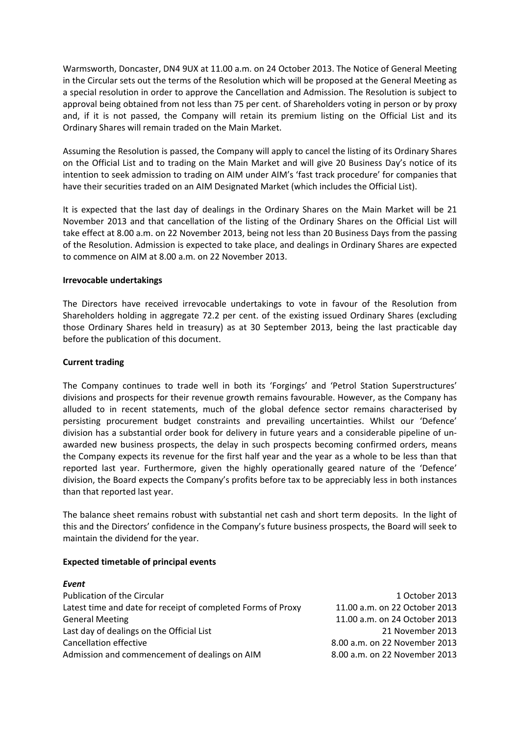Warmsworth, Doncaster, DN4 9UX at 11.00 a.m. on 24 October 2013. The Notice of General Meeting in the Circular sets out the terms of the Resolution which will be proposed at the General Meeting as a special resolution in order to approve the Cancellation and Admission. The Resolution is subject to approval being obtained from not less than 75 per cent. of Shareholders voting in person or by proxy and, if it is not passed, the Company will retain its premium listing on the Official List and its Ordinary Shares will remain traded on the Main Market.

Assuming the Resolution is passed, the Company will apply to cancel the listing of its Ordinary Shares on the Official List and to trading on the Main Market and will give 20 Business Day's notice of its intention to seek admission to trading on AIM under AIM's 'fast track procedure' for companies that have their securities traded on an AIM Designated Market (which includes the Official List).

It is expected that the last day of dealings in the Ordinary Shares on the Main Market will be 21 November 2013 and that cancellation of the listing of the Ordinary Shares on the Official List will take effect at 8.00 a.m. on 22 November 2013, being not less than 20 Business Days from the passing of the Resolution. Admission is expected to take place, and dealings in Ordinary Shares are expected to commence on AIM at 8.00 a.m. on 22 November 2013.

## **Irrevocable undertakings**

The Directors have received irrevocable undertakings to vote in favour of the Resolution from Shareholders holding in aggregate 72.2 per cent. of the existing issued Ordinary Shares (excluding those Ordinary Shares held in treasury) as at 30 September 2013, being the last practicable day before the publication of this document.

#### **Current trading**

The Company continues to trade well in both its 'Forgings' and 'Petrol Station Superstructures' divisions and prospects for their revenue growth remains favourable. However, as the Company has alluded to in recent statements, much of the global defence sector remains characterised by persisting procurement budget constraints and prevailing uncertainties. Whilst our 'Defence' division has a substantial order book for delivery in future years and a considerable pipeline of un‐ awarded new business prospects, the delay in such prospects becoming confirmed orders, means the Company expects its revenue for the first half year and the year as a whole to be less than that reported last year. Furthermore, given the highly operationally geared nature of the 'Defence' division, the Board expects the Company's profits before tax to be appreciably less in both instances than that reported last year.

The balance sheet remains robust with substantial net cash and short term deposits. In the light of this and the Directors' confidence in the Company's future business prospects, the Board will seek to maintain the dividend for the year.

## **Expected timetable of principal events**

| Event                                                        |                               |
|--------------------------------------------------------------|-------------------------------|
| Publication of the Circular                                  | 1 October 2013                |
| Latest time and date for receipt of completed Forms of Proxy | 11.00 a.m. on 22 October 2013 |
| <b>General Meeting</b>                                       | 11.00 a.m. on 24 October 2013 |
| Last day of dealings on the Official List                    | 21 November 2013              |
| <b>Cancellation effective</b>                                | 8.00 a.m. on 22 November 2013 |
| Admission and commencement of dealings on AIM                | 8.00 a.m. on 22 November 2013 |